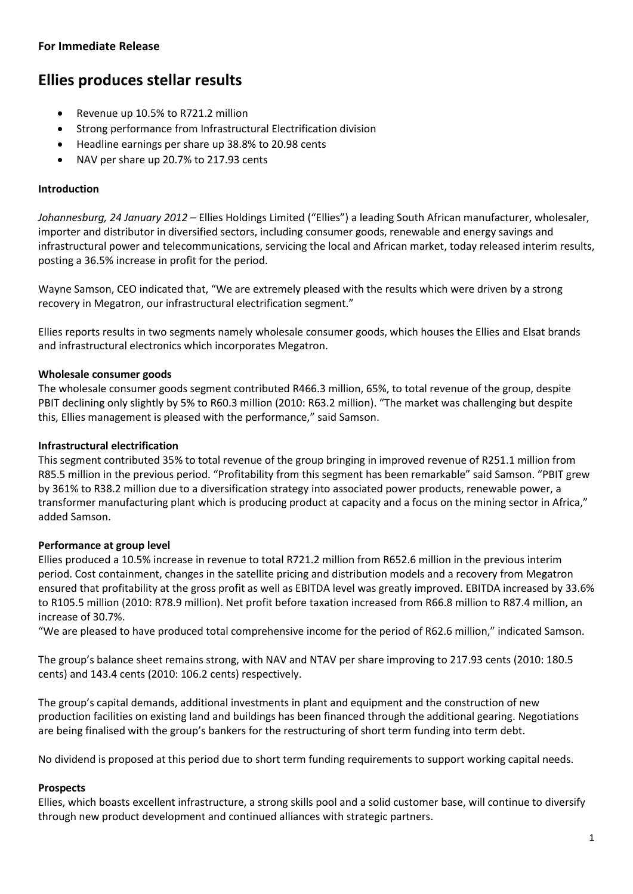## **For Immediate Release**

# **Ellies produces stellar results**

- Revenue up 10.5% to R721.2 million
- Strong performance from Infrastructural Electrification division
- Headline earnings per share up 38.8% to 20.98 cents
- NAV per share up 20.7% to 217.93 cents

### **Introduction**

*Johannesburg, 24 January 2012 –* Ellies Holdings Limited ("Ellies") a leading South African manufacturer, wholesaler, importer and distributor in diversified sectors, including consumer goods, renewable and energy savings and infrastructural power and telecommunications, servicing the local and African market, today released interim results, posting a 36.5% increase in profit for the period.

Wayne Samson, CEO indicated that, "We are extremely pleased with the results which were driven by a strong recovery in Megatron, our infrastructural electrification segment."

Ellies reports results in two segments namely wholesale consumer goods, which houses the Ellies and Elsat brands and infrastructural electronics which incorporates Megatron.

## **Wholesale consumer goods**

The wholesale consumer goods segment contributed R466.3 million, 65%, to total revenue of the group, despite PBIT declining only slightly by 5% to R60.3 million (2010: R63.2 million). "The market was challenging but despite this, Ellies management is pleased with the performance," said Samson.

#### **Infrastructural electrification**

This segment contributed 35% to total revenue of the group bringing in improved revenue of R251.1 million from R85.5 million in the previous period. "Profitability from this segment has been remarkable" said Samson. "PBIT grew by 361% to R38.2 million due to a diversification strategy into associated power products, renewable power, a transformer manufacturing plant which is producing product at capacity and a focus on the mining sector in Africa," added Samson.

### **Performance at group level**

Ellies produced a 10.5% increase in revenue to total R721.2 million from R652.6 million in the previous interim period. Cost containment, changes in the satellite pricing and distribution models and a recovery from Megatron ensured that profitability at the gross profit as well as EBITDA level was greatly improved. EBITDA increased by 33.6% to R105.5 million (2010: R78.9 million). Net profit before taxation increased from R66.8 million to R87.4 million, an increase of 30.7%.

"We are pleased to have produced total comprehensive income for the period of R62.6 million," indicated Samson.

The group's balance sheet remains strong, with NAV and NTAV per share improving to 217.93 cents (2010: 180.5 cents) and 143.4 cents (2010: 106.2 cents) respectively.

The group's capital demands, additional investments in plant and equipment and the construction of new production facilities on existing land and buildings has been financed through the additional gearing. Negotiations are being finalised with the group's bankers for the restructuring of short term funding into term debt.

No dividend is proposed at this period due to short term funding requirements to support working capital needs.

#### **Prospects**

Ellies, which boasts excellent infrastructure, a strong skills pool and a solid customer base, will continue to diversify through new product development and continued alliances with strategic partners.